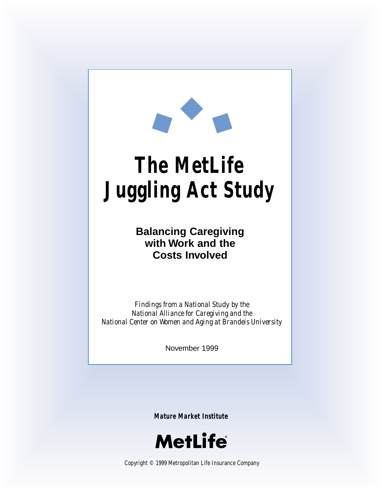# **The MetLife Juggling Act Study**

**Balancing Caregiving with Work and the Costs Involved**

*Findings from a National Study by the National Alliance for Caregiving and the National Center on Women and Aging at Brandeis University*

November 1999

**Mature Market Institute**



Copyright © 1999 Metropolitan Life Insurance Company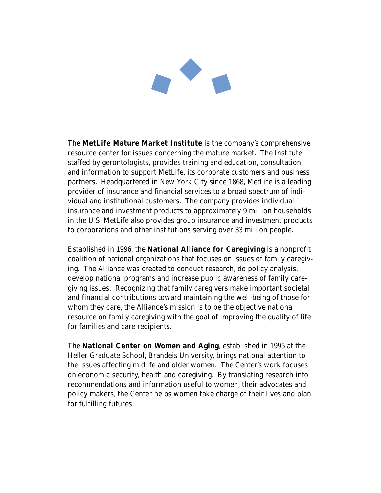

The **MetLife Mature Market Institute** is the company's comprehensive resource center for issues concerning the mature market. The Institute, staffed by gerontologists, provides training and education, consultation and information to support MetLife, its corporate customers and business partners. Headquartered in New York City since 1868, MetLife is a leading provider of insurance and financial services to a broad spectrum of individual and institutional customers. The company provides individual insurance and investment products to approximately 9 million households in the U.S. MetLife also provides group insurance and investment products to corporations and other institutions serving over 33 million people.

Established in 1996, the **National Alliance for Caregiving** is a nonprofit coalition of national organizations that focuses on issues of family caregiving. The Alliance was created to conduct research, do policy analysis, develop national programs and increase public awareness of family caregiving issues. Recognizing that family caregivers make important societal and financial contributions toward maintaining the well-being of those for whom they care, the Alliance's mission is to be the objective national resource on family caregiving with the goal of improving the quality of life for families and care recipients.

The **National Center on Women and Aging**, established in 1995 at the Heller Graduate School, Brandeis University, brings national attention to the issues affecting midlife and older women. The Center's work focuses on economic security, health and caregiving. By translating research into recommendations and information useful to women, their advocates and policy makers, the Center helps women take charge of their lives and plan for fulfilling futures.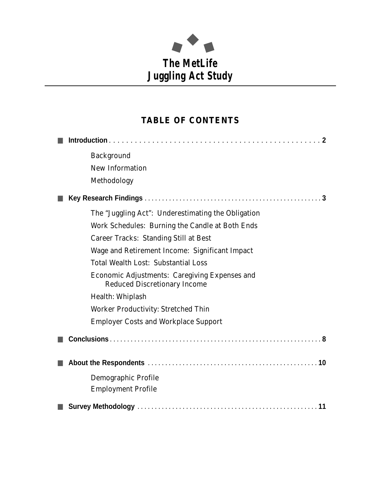

# **TABLE OF CONTENTS**

| <b>Background</b>                                                                    |  |  |
|--------------------------------------------------------------------------------------|--|--|
| <b>New Information</b>                                                               |  |  |
| Methodology                                                                          |  |  |
|                                                                                      |  |  |
| The "Juggling Act": Underestimating the Obligation                                   |  |  |
| Work Schedules: Burning the Candle at Both Ends                                      |  |  |
| <b>Career Tracks: Standing Still at Best</b>                                         |  |  |
| <b>Wage and Retirement Income: Significant Impact</b>                                |  |  |
| <b>Total Wealth Lost: Substantial Loss</b>                                           |  |  |
| Economic Adjustments: Caregiving Expenses and<br><b>Reduced Discretionary Income</b> |  |  |
| Health: Whiplash                                                                     |  |  |
| <b>Worker Productivity: Stretched Thin</b>                                           |  |  |
| <b>Employer Costs and Workplace Support</b>                                          |  |  |
|                                                                                      |  |  |
|                                                                                      |  |  |
| <b>Demographic Profile</b>                                                           |  |  |
| <b>Employment Profile</b>                                                            |  |  |
|                                                                                      |  |  |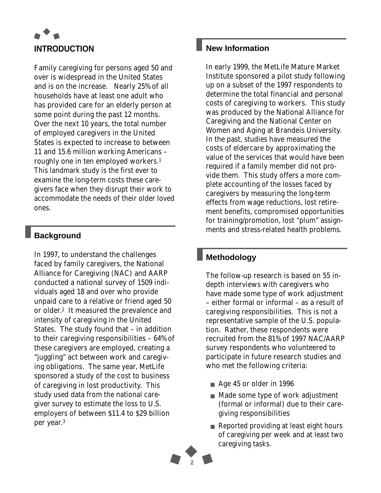

Family caregiving for persons aged 50 and over is widespread in the United States and is on the increase. Nearly 25% of all households have at least one adult who has provided care for an elderly person at some point during the past 12 months. Over the next 10 years, the total number of employed caregivers in the United States is expected to increase to between 11 and 15.6 million working Americans – roughly one in ten employed workers.<sup>1</sup> This landmark study is the first ever to examine the long-term costs these caregivers face when they disrupt their work to accommodate the needs of their older loved ones.

# **Background**

In 1997, to understand the challenges faced by family caregivers, the National Alliance for Caregiving (NAC) and AARP conducted a national survey of 1509 individuals aged 18 and over who provide unpaid care to a relative or friend aged 50 or older.2 It measured the prevalence and intensity of caregiving in the United States. The study found that – in addition to their caregiving responsibilities – 64% of these caregivers are employed, creating a "juggling" act between work and caregiving obligations. The same year, MetLife sponsored a study of the cost to business of caregiving in lost productivity. This study used data from the national caregiver survey to estimate the loss to U.S. employers of between \$11.4 to \$29 billion per year.3

## **New Information**

In early 1999, the MetLife Mature Market Institute sponsored a pilot study following up on a subset of the 1997 respondents to determine the total financial and personal costs of caregiving to workers. This study was produced by the National Alliance for Caregiving and the National Center on Women and Aging at Brandeis University. In the past, studies have measured the costs of eldercare by approximating the value of the services that would have been required if a family member did not provide them. This study offers a more complete accounting of the losses faced by caregivers by measuring the long-term effects from wage reductions, lost retirement benefits, compromised opportunities for training/promotion, lost "plum" assignments and stress-related health problems.

# **Methodology**

The follow-up research is based on 55 indepth interviews with caregivers who have made some type of work adjustment – either formal or informal – as a result of caregiving responsibilities. This is not a representative sample of the U.S. population. Rather, these respondents were recruited from the 81% of 1997 NAC/AARP survey respondents who volunteered to participate in future research studies and who met the following criteria:

- Age 45 or older in 1996
- Made some type of work adjustment (formal or informal) due to their caregiving responsibilities
- Reported providing at least eight hours of caregiving per week and at least two caregiving tasks.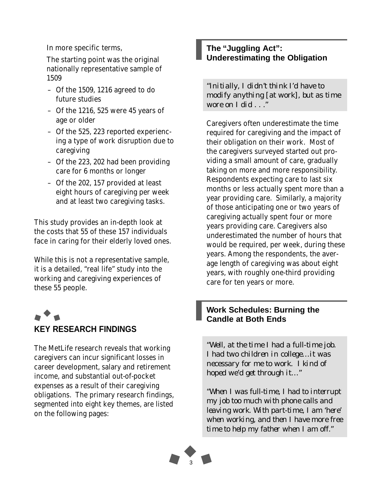In more specific terms,

The starting point was the original nationally representative sample of 1509

- Of the 1509, 1216 agreed to do future studies
- Of the 1216, 525 were 45 years of age or older
- Of the 525, 223 reported experiencing a type of work disruption due to caregiving
- Of the 223, 202 had been providing care for 6 months or longer
- Of the 202, 157 provided at least eight hours of caregiving per week and at least two caregiving tasks.

This study provides an in-depth look at the costs that 55 of these 157 individuals face in caring for their elderly loved ones.

While this is not a representative sample, it is a detailed, "real life" study into the working and caregiving experiences of these 55 people.

# **KEY RESEARCH FINDINGS**

The MetLife research reveals that working caregivers can incur significant losses in career development, salary and retirement income, and substantial out-of-pocket expenses as a result of their caregiving obligations. The primary research findings, segmented into eight key themes, are listed on the following pages:

# **The "Juggling Act": Underestimating the Obligation**

*"Initially, I didn't think I'd have to modify anything [at work], but as time wore on I did . . ."*

Caregivers often underestimate the time required for caregiving and the impact of their obligation on their work. Most of the caregivers surveyed started out providing a small amount of care, gradually taking on more and more responsibility. Respondents expecting care to last six months or less actually spent more than a year providing care. Similarly, a majority of those anticipating one or two years of caregiving actually spent four or more years providing care. Caregivers also underestimated the number of hours that would be required, per week, during these years. Among the respondents, the average length of caregiving was about eight years, with roughly one-third providing care for ten years or more.

# **Work Schedules: Burning the Candle at Both Ends**

*"Well, at the time I had a full-time job. I had two children in college…it was necessary for me to work. I kind of hoped we'd get through it…"*

*"When I was full-time, I had to interrupt my job too much with phone calls and leaving work. With part-time, I am 'here' when working, and then I have more free time to help my father when I am off."*

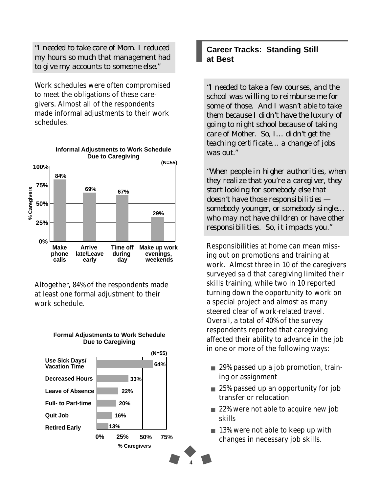*"I needed to take care of Mom. I reduced my hours so much that management had to give my accounts to someone else."* 

Work schedules were often compromised to meet the obligations of these caregivers. Almost all of the respondents made informal adjustments to their work schedules.



Altogether, 84% of the respondents made at least one formal adjustment to their work schedule.



#### **Formal Adjustments to Work Schedule Due to Caregiving**

# **Career Tracks: Standing Still at Best**

*"I needed to take a few courses, and the school was willing to reimburse me for some of those. And I wasn't able to take them because I didn't have the luxury of going to night school because of taking care of Mother. So, I… didn't get the teaching certificate… a change of jobs was out."*

*"When people in higher authorities, when they realize that you're a caregiver, they start looking for somebody else that doesn't have those responsibilities somebody younger, or somebody single… who may not have children or have other responsibilities. So, it impacts you."*

Responsibilities at home can mean missing out on promotions and training at work. Almost three in 10 of the caregivers surveyed said that caregiving limited their skills training, while two in 10 reported turning down the opportunity to work on a special project and almost as many steered clear of work-related travel. Overall, a total of 40% of the survey respondents reported that caregiving affected their ability to advance in the job in one or more of the following ways:

- 29% passed up a job promotion, training or assignment
- 25% passed up an opportunity for job transfer or relocation
- 22% were not able to acquire new job skills
- 13% were not able to keep up with changes in necessary job skills. **0% 25% 50% 75%**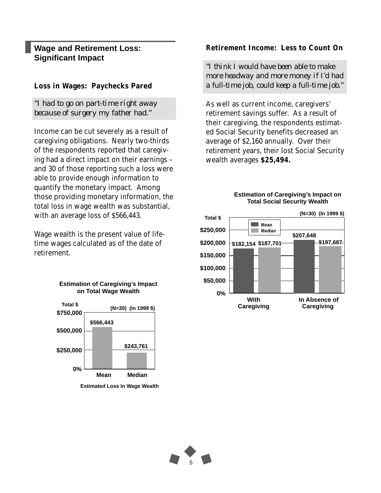# **Wage and Retirement Loss: Significant Impact**

### **Loss in Wages: Paychecks Pared**

*"I had to go on part-time right away because of surgery my father had."*

Income can be cut severely as a result of caregiving obligations. Nearly two-thirds of the respondents reported that caregiving had a direct impact on their earnings – and 30 of those reporting such a loss were able to provide enough information to quantify the monetary impact. Among those providing monetary information, the total loss in wage wealth was substantial, with an average loss of \$566,443.

Wage wealth is the present value of lifetime wages calculated as of the date of retirement.



**Estimated Loss In Wage Wealth**

#### **Retirement Income: Less to Count On**

*"I think I would have been able to make more headway and more money if I'd had a full-time job, could keep a full-time job."*

As well as current income, caregivers' retirement savings suffer. As a result of their caregiving, the respondents estimated Social Security benefits decreased an average of \$2,160 annually. Over their retirement years, their lost Social Security wealth averages **\$25,494.**





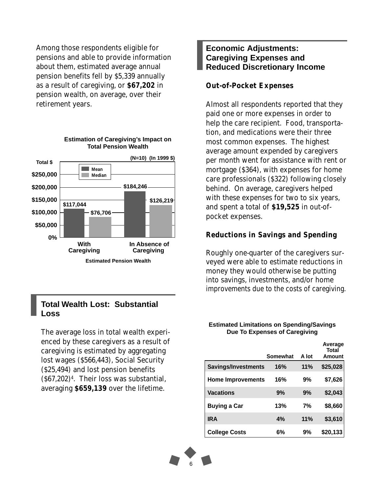Among those respondents eligible for pensions and able to provide information about them, estimated average annual pension benefits fell by \$5,339 annually as a result of caregiving, or **\$67,202** in pension wealth, on average, over their retirement years.



# **Total Wealth Lost: Substantial Loss**

The average loss in total wealth experienced by these caregivers as a result of caregiving is estimated by aggregating lost wages (\$566,443), Social Security (\$25,494) and lost pension benefits (\$67,202)4. Their loss was substantial, averaging **\$659,139** over the lifetime.

# **Economic Adjustments: Caregiving Expenses and Reduced Discretionary Income**

#### **Out-of-Pocket Expenses**

Almost all respondents reported that they paid one or more expenses in order to help the care recipient. Food, transportation, and medications were their three most common expenses. The highest average amount expended by caregivers per month went for assistance with rent or mortgage (\$364), with expenses for home care professionals (\$322) following closely behind. On average, caregivers helped with these expenses for two to six years, and spent a total of **\$19,525** in out-ofpocket expenses.

### **Reductions in Savings and Spending**

Roughly one-quarter of the caregivers surveyed were able to estimate reductions in money they would otherwise be putting into savings, investments, and/or home improvements due to the costs of caregiving.

#### **Estimated Limitations on Spending/Savings Due To Expenses of Caregiving**

|                            | Somewhat | A lot | Average<br><b>Total</b><br>Amount |
|----------------------------|----------|-------|-----------------------------------|
| <b>Savings/Investments</b> | 16%      | 11%   | \$25,028                          |
| <b>Home Improvements</b>   | 16%      | 9%    | \$7,626                           |
| <b>Vacations</b>           | 9%       | 9%    | \$2,043                           |
| <b>Buying a Car</b>        | 13%      | 7%    | \$8,660                           |
| <b>IRA</b>                 | 4%       | 11%   | \$3,610                           |
| <b>College Costs</b>       | 6%       | 9%    | \$20,133                          |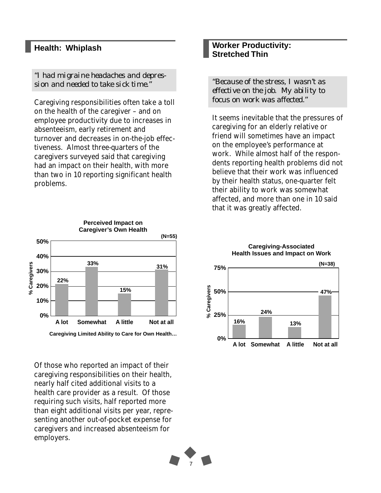# **Health: Whiplash**

*"I had migraine headaches and depression and needed to take sick time."*

Caregiving responsibilities often take a toll on the health of the caregiver – and on employee productivity due to increases in absenteeism, early retirement and turnover and decreases in on-the-job effectiveness. Almost three-quarters of the caregivers surveyed said that caregiving had an impact on their health, with more than two in 10 reporting significant health problems.



Of those who reported an impact of their caregiving responsibilities on their health, nearly half cited additional visits to a health care provider as a result. Of those requiring such visits, half reported more than eight additional visits per year, representing another out-of-pocket expense for caregivers and increased absenteeism for employers.

7

# **Worker Productivity: Stretched Thin**

*"Because of the stress, I wasn't as effective on the job. My ability to focus on work was affected."*

It seems inevitable that the pressures of caregiving for an elderly relative or friend will sometimes have an impact on the employee's performance at work. While almost half of the respondents reporting health problems did not believe that their work was influenced by their health status, one-quarter felt their ability to work was somewhat affected, and more than one in 10 said that it was greatly affected.

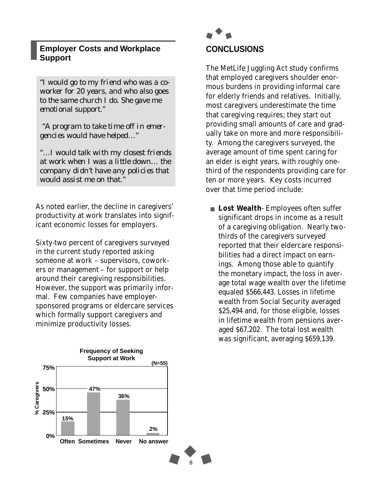# **Employer Costs and Workplace Support**

*"I would go to my friend who was a coworker for 20 years, and who also goes to the same church I do. She gave me emotional support."*

*"A program to take time off in emergencies would have helped…"*

*"…I would talk with my closest friends at work when I was a little down… the company didn't have any policies that would assist me on that."*

As noted earlier, the decline in caregivers' productivity at work translates into significant economic losses for employers.

Sixty-two percent of caregivers surveyed in the current study reported asking someone at work – supervisors, coworkers or management – for support or help around their caregiving responsibilities. However, the support was primarily informal. Few companies have employersponsored programs or eldercare services which formally support caregivers and minimize productivity losses.



The MetLife Juggling Act study confirms that employed caregivers shoulder enormous burdens in providing informal care for elderly friends and relatives. Initially, most caregivers underestimate the time that caregiving requires; they start out providing small amounts of care and gradually take on more and more responsibility. Among the caregivers surveyed, the average amount of time spent caring for an elder is eight years, with roughly onethird of the respondents providing care for ten or more years. Key costs incurred over that time period include:

■ **Lost Wealth**- Employees often suffer significant drops in income as a result of a caregiving obligation. Nearly twothirds of the caregivers surveyed reported that their eldercare responsibilities had a direct impact on earnings. Among those able to quantify the monetary impact, the loss in average total wage wealth over the lifetime equaled \$566,443. Losses in lifetime wealth from Social Security averaged \$25,494 and, for those eligible, losses in lifetime wealth from pensions averaged \$67,202. The total lost wealth was significant, averaging \$659,139.

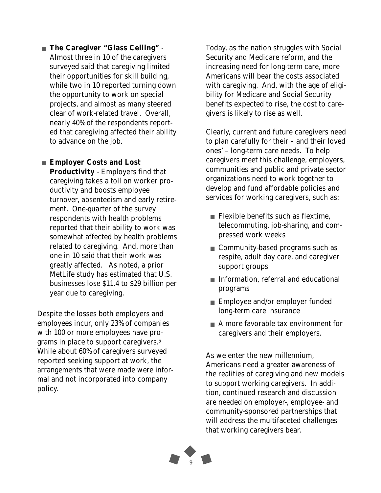■ **The Caregiver "Glass Ceiling"** -

Almost three in 10 of the caregivers surveyed said that caregiving limited their opportunities for skill building, while two in 10 reported turning down the opportunity to work on special projects, and almost as many steered clear of work-related travel. Overall, nearly 40% of the respondents reported that caregiving affected their ability to advance on the job.

■ **Employer Costs and Lost Productivity** - Employers find that caregiving takes a toll on worker productivity and boosts employee turnover, absenteeism and early retirement. One-quarter of the survey respondents with health problems reported that their ability to work was somewhat affected by health problems related to caregiving. And, more than one in 10 said that their work was greatly affected. As noted, a prior MetLife study has estimated that U.S. businesses lose \$11.4 to \$29 billion per year due to caregiving.

Despite the losses both employers and employees incur, only 23% of companies with 100 or more employees have programs in place to support caregivers.5 While about 60% of caregivers surveyed reported seeking support at work, the arrangements that were made were informal and not incorporated into company policy.

Today, as the nation struggles with Social Security and Medicare reform, and the increasing need for long-term care, more Americans will bear the costs associated with caregiving. And, with the age of eligibility for Medicare and Social Security benefits expected to rise, the cost to caregivers is likely to rise as well.

Clearly, current and future caregivers need to plan carefully for their – and their loved ones' – long-term care needs. To help caregivers meet this challenge, employers, communities and public and private sector organizations need to work together to develop and fund affordable policies and services for working caregivers, such as:

- Flexible benefits such as flextime, telecommuting, job-sharing, and compressed work weeks
- Community-based programs such as respite, adult day care, and caregiver support groups
- Information, referral and educational programs
- Employee and/or employer funded long-term care insurance
- A more favorable tax environment for caregivers and their employers.

As we enter the new millennium, Americans need a greater awareness of the realities of caregiving and new models to support working caregivers. In addition, continued research and discussion are needed on employer-, employee- and community-sponsored partnerships that will address the multifaceted challenges that working caregivers bear.

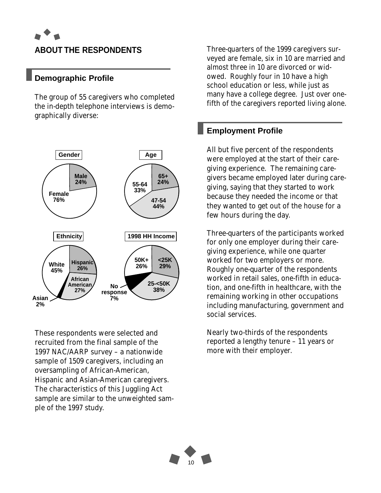# **ABOUT THE RESPONDENTS**

# **Demographic Profile**

The group of 55 caregivers who completed the in-depth telephone interviews is demographically diverse:



These respondents were selected and recruited from the final sample of the 1997 NAC/AARP survey – a nationwide sample of 1509 caregivers, including an oversampling of African-American, Hispanic and Asian-American caregivers. The characteristics of this Juggling Act sample are similar to the unweighted sample of the 1997 study.

Three-quarters of the 1999 caregivers surveyed are female, six in 10 are married and almost three in 10 are divorced or widowed. Roughly four in 10 have a high school education or less, while just as many have a college degree. Just over onefifth of the caregivers reported living alone.

# **Employment Profile**

All but five percent of the respondents were employed at the start of their caregiving experience. The remaining caregivers became employed later during caregiving, saying that they started to work because they needed the income or that they wanted to get out of the house for a few hours during the day.

Three-quarters of the participants worked for only one employer during their caregiving experience, while one quarter worked for two employers or more. Roughly one-quarter of the respondents worked in retail sales, one-fifth in education, and one-fifth in healthcare, with the remaining working in other occupations including manufacturing, government and social services.

Nearly two-thirds of the respondents reported a lengthy tenure – 11 years or more with their employer.

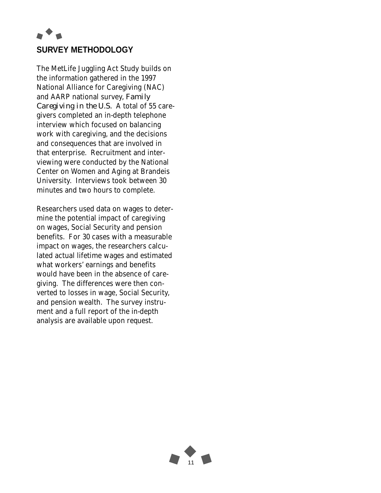

The MetLife Juggling Act Study builds on the information gathered in the 1997 National Alliance for Caregiving (NAC) and AARP national survey, *Family Caregiving in the U.S.* A total of 55 caregivers completed an in-depth telephone interview which focused on balancing work with caregiving, and the decisions and consequences that are involved in that enterprise. Recruitment and interviewing were conducted by the National Center on Women and Aging at Brandeis University. Interviews took between 30 minutes and two hours to complete.

Researchers used data on wages to determine the potential impact of caregiving on wages, Social Security and pension benefits. For 30 cases with a measurable impact on wages, the researchers calculated actual lifetime wages and estimated what workers' earnings and benefits would have been in the absence of caregiving. The differences were then converted to losses in wage, Social Security, and pension wealth. The survey instrument and a full report of the in-depth analysis are available upon request.

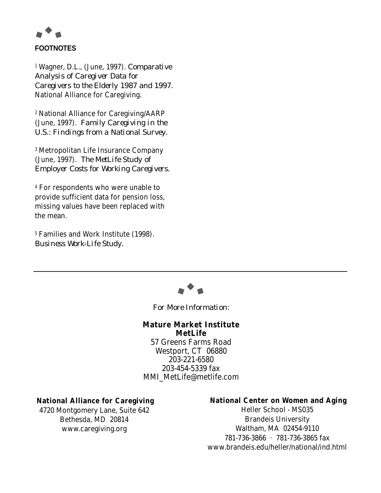

<sup>1</sup> Wagner, D.L., (June, 1997). *Comparative Analysis of Caregiver Data for Caregivers to the Elderly 1987 and 1997.* National Alliance for Caregiving.

<sup>2</sup> National Alliance for Caregiving/AARP (June, 1997). *Family Caregiving in the U.S.: Findings from a National Survey.* 

<sup>3</sup> Metropolitan Life Insurance Company (June, 1997). *The MetLife Study of Employer Costs for Working Caregivers.*

<sup>4</sup> For respondents who were unable to provide sufficient data for pension loss, missing values have been replaced with the mean.

<sup>5</sup> Families and Work Institute (1998). *Business Work-Life Study.*

*For More Information:*

#### **Mature Market Institute MetLife**

57 Greens Farms Road Westport, CT 06880 203-221-6580 203-454-5339 fax MMI\_MetLife@metlife.com

#### **National Alliance for Caregiving**

4720 Montgomery Lane, Suite 642 Bethesda, MD 20814 www.caregiving.org

### **National Center on Women and Aging**

Heller School - MS035 Brandeis University Waltham, MA 02454-9110 781-736-3866 · 781-736-3865 fax www.brandeis.edu/heller/national/ind.html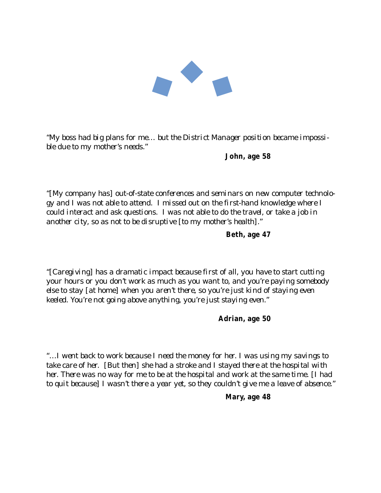

*"My boss had big plans for me… but the District Manager position became impossible due to my mother's needs."*

**John, age 58**

*"[My company has] out-of-state conferences and seminars on new computer technology and I was not able to attend. I missed out on the first-hand knowledge where I could interact and ask questions. I was not able to do the travel, or take a job in another city, so as not to be disruptive [to my mother's health]."*

**Beth, age 47**

*"[Caregiving] has a dramatic impact because first of all, you have to start cutting your hours or you don't work as much as you want to, and you're paying somebody else to stay [at home] when you aren't there, so you're just kind of staying even keeled. You're not going above anything, you're just staying even."*

**Adrian, age 50**

*"…I went back to work because I need the money for her. I was using my savings to take care of her. [But then] she had a stroke and I stayed there at the hospital with her. There was no way for me to be at the hospital and work at the same time. [I had to quit because] I wasn't there a year yet, so they couldn't give me a leave of absence."*

**Mary, age 48**